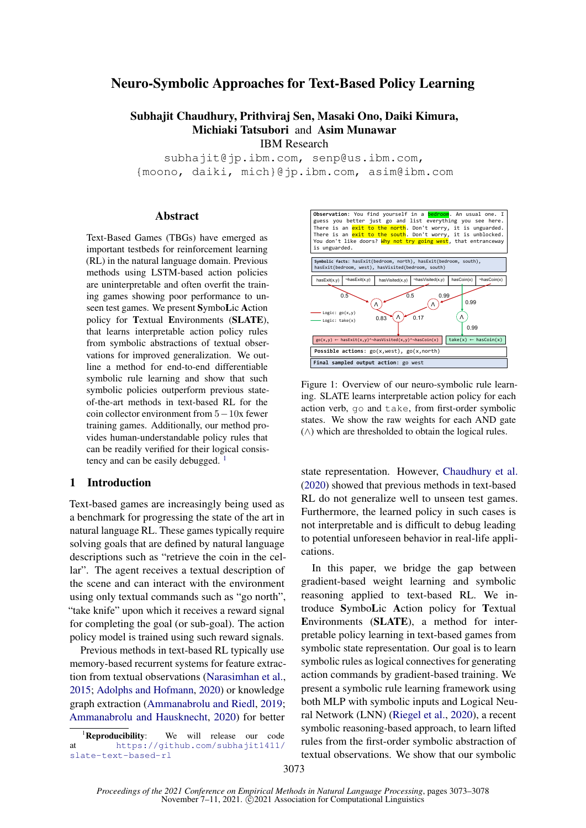# Neuro-Symbolic Approaches for Text-Based Policy Learning

# Subhajit Chaudhury, Prithviraj Sen, Masaki Ono, Daiki Kimura, Michiaki Tatsubori and Asim Munawar IBM Research

subhajit@jp.ibm.com, senp@us.ibm.com, {moono, daiki, mich}@jp.ibm.com, asim@ibm.com

#### Abstract

Text-Based Games (TBGs) have emerged as important testbeds for reinforcement learning (RL) in the natural language domain. Previous methods using LSTM-based action policies are uninterpretable and often overfit the training games showing poor performance to unseen test games. We present SymboLic Action policy for Textual Environments (SLATE), that learns interpretable action policy rules from symbolic abstractions of textual observations for improved generalization. We outline a method for end-to-end differentiable symbolic rule learning and show that such symbolic policies outperform previous stateof-the-art methods in text-based RL for the coin collector environment from 5−10x fewer training games. Additionally, our method provides human-understandable policy rules that can be readily verified for their logical consistency and can be easily debugged.  $<sup>1</sup>$  $<sup>1</sup>$  $<sup>1</sup>$ </sup>

### 1 Introduction

Text-based games are increasingly being used as a benchmark for progressing the state of the art in natural language RL. These games typically require solving goals that are defined by natural language descriptions such as "retrieve the coin in the cellar". The agent receives a textual description of the scene and can interact with the environment using only textual commands such as "go north", "take knife" upon which it receives a reward signal for completing the goal (or sub-goal). The action policy model is trained using such reward signals.

Previous methods in text-based RL typically use memory-based recurrent systems for feature extraction from textual observations [\(Narasimhan et al.,](#page-5-0) [2015;](#page-5-0) [Adolphs and Hofmann,](#page-4-0) [2020\)](#page-4-0) or knowledge graph extraction [\(Ammanabrolu and Riedl,](#page-4-1) [2019;](#page-4-1) [Ammanabrolu and Hausknecht,](#page-4-2) [2020\)](#page-4-2) for better



Figure 1: Overview of our neuro-symbolic rule learning. SLATE learns interpretable action policy for each action verb, go and take, from first-order symbolic states. We show the raw weights for each AND gate  $(\wedge)$  which are thresholded to obtain the logical rules.

state representation. However, [Chaudhury et al.](#page-4-3) [\(2020\)](#page-4-3) showed that previous methods in text-based RL do not generalize well to unseen test games. Furthermore, the learned policy in such cases is not interpretable and is difficult to debug leading to potential unforeseen behavior in real-life applications.

In this paper, we bridge the gap between gradient-based weight learning and symbolic reasoning applied to text-based RL. We introduce SymboLic Action policy for Textual Environments (SLATE), a method for interpretable policy learning in text-based games from symbolic state representation. Our goal is to learn symbolic rules as logical connectives for generating action commands by gradient-based training. We present a symbolic rule learning framework using both MLP with symbolic inputs and Logical Neural Network (LNN) [\(Riegel et al.,](#page-5-1) [2020\)](#page-5-1), a recent symbolic reasoning-based approach, to learn lifted rules from the first-order symbolic abstraction of textual observations. We show that our symbolic

<span id="page-0-0"></span><sup>&</sup>lt;sup>1</sup>Reproducibility: We will release our code at [https://github.com/subhajit1411/](https://github.com/subhajit1411/slate-text-based-rl) [slate-text-based-rl](https://github.com/subhajit1411/slate-text-based-rl)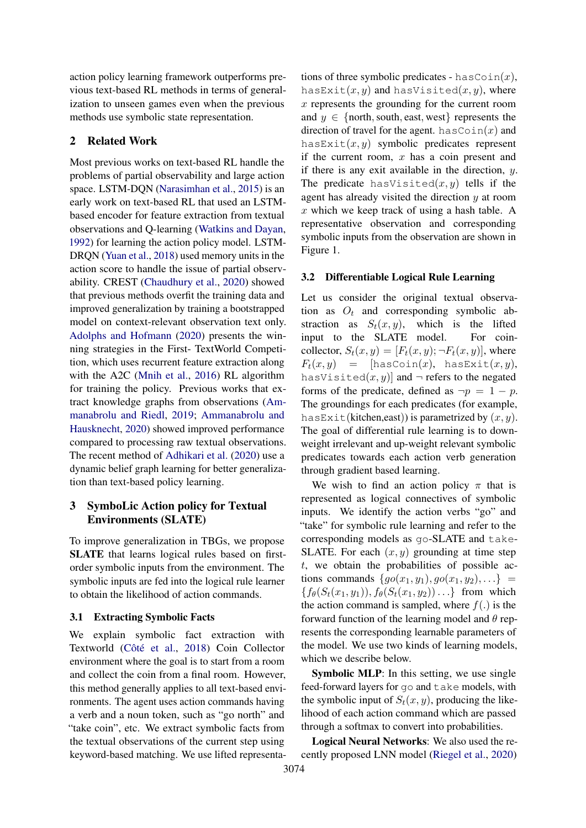action policy learning framework outperforms previous text-based RL methods in terms of generalization to unseen games even when the previous methods use symbolic state representation.

## 2 Related Work

Most previous works on text-based RL handle the problems of partial observability and large action space. LSTM-DQN [\(Narasimhan et al.,](#page-5-0) [2015\)](#page-5-0) is an early work on text-based RL that used an LSTMbased encoder for feature extraction from textual observations and Q-learning [\(Watkins and Dayan,](#page-5-2) [1992\)](#page-5-2) for learning the action policy model. LSTM-DRQN [\(Yuan et al.,](#page-5-3) [2018\)](#page-5-3) used memory units in the action score to handle the issue of partial observability. CREST [\(Chaudhury et al.,](#page-4-3) [2020\)](#page-4-3) showed that previous methods overfit the training data and improved generalization by training a bootstrapped model on context-relevant observation text only. [Adolphs and Hofmann](#page-4-0) [\(2020\)](#page-4-0) presents the winning strategies in the First- TextWorld Competition, which uses recurrent feature extraction along with the A2C [\(Mnih et al.,](#page-5-4) [2016\)](#page-5-4) RL algorithm for training the policy. Previous works that extract knowledge graphs from observations [\(Am](#page-4-1)[manabrolu and Riedl,](#page-4-1) [2019;](#page-4-1) [Ammanabrolu and](#page-4-2) [Hausknecht,](#page-4-2) [2020\)](#page-4-2) showed improved performance compared to processing raw textual observations. The recent method of [Adhikari et al.](#page-4-4) [\(2020\)](#page-4-4) use a dynamic belief graph learning for better generalization than text-based policy learning.

# 3 SymboLic Action policy for Textual Environments (SLATE)

To improve generalization in TBGs, we propose SLATE that learns logical rules based on firstorder symbolic inputs from the environment. The symbolic inputs are fed into the logical rule learner to obtain the likelihood of action commands.

#### 3.1 Extracting Symbolic Facts

We explain symbolic fact extraction with Textworld [\(Côté et al.,](#page-4-5) [2018\)](#page-4-5) Coin Collector environment where the goal is to start from a room and collect the coin from a final room. However, this method generally applies to all text-based environments. The agent uses action commands having a verb and a noun token, such as "go north" and "take coin", etc. We extract symbolic facts from the textual observations of the current step using keyword-based matching. We use lifted representations of three symbolic predicates - hasCoin $(x)$ , hasExit $(x, y)$  and hasVisited $(x, y)$ , where  $x$  represents the grounding for the current room and  $y \in \{$  north, south, east, west  $\}$  represents the direction of travel for the agent. hasCoin $(x)$  and hasExit $(x, y)$  symbolic predicates represent if the current room,  $x$  has a coin present and if there is any exit available in the direction,  $y$ . The predicate has Visited $(x, y)$  tells if the agent has already visited the direction  $y$  at room  $x$  which we keep track of using a hash table. A representative observation and corresponding symbolic inputs from the observation are shown in Figure 1.

### 3.2 Differentiable Logical Rule Learning

Let us consider the original textual observation as  $O_t$  and corresponding symbolic abstraction as  $S_t(x, y)$ , which is the lifted input to the SLATE model. For coincollector,  $S_t(x, y) = [F_t(x, y); \neg F_t(x, y)]$ , where  $F_t(x, y) =$  [hasCoin(x), hasExit(x, y), hasVisited $(x, y)$ ] and  $\neg$  refers to the negated forms of the predicate, defined as  $\neg p = 1 - p$ . The groundings for each predicates (for example, hasExit(kitchen,east)) is parametrized by  $(x, y)$ . The goal of differential rule learning is to downweight irrelevant and up-weight relevant symbolic predicates towards each action verb generation through gradient based learning.

We wish to find an action policy  $\pi$  that is represented as logical connectives of symbolic inputs. We identify the action verbs "go" and "take" for symbolic rule learning and refer to the corresponding models as go-SLATE and take-SLATE. For each  $(x, y)$  grounding at time step  $t$ , we obtain the probabilities of possible actions commands  $\{go(x_1, y_1), go(x_1, y_2), \ldots\}$  =  ${f_{\theta}(S_t(x_1, y_1)), f_{\theta}(S_t(x_1, y_2)) \dots}$  from which the action command is sampled, where  $f(.)$  is the forward function of the learning model and  $\theta$  represents the corresponding learnable parameters of the model. We use two kinds of learning models, which we describe below.

Symbolic MLP: In this setting, we use single feed-forward layers for go and take models, with the symbolic input of  $S_t(x, y)$ , producing the likelihood of each action command which are passed through a softmax to convert into probabilities.

Logical Neural Networks: We also used the recently proposed LNN model [\(Riegel et al.,](#page-5-1) [2020\)](#page-5-1)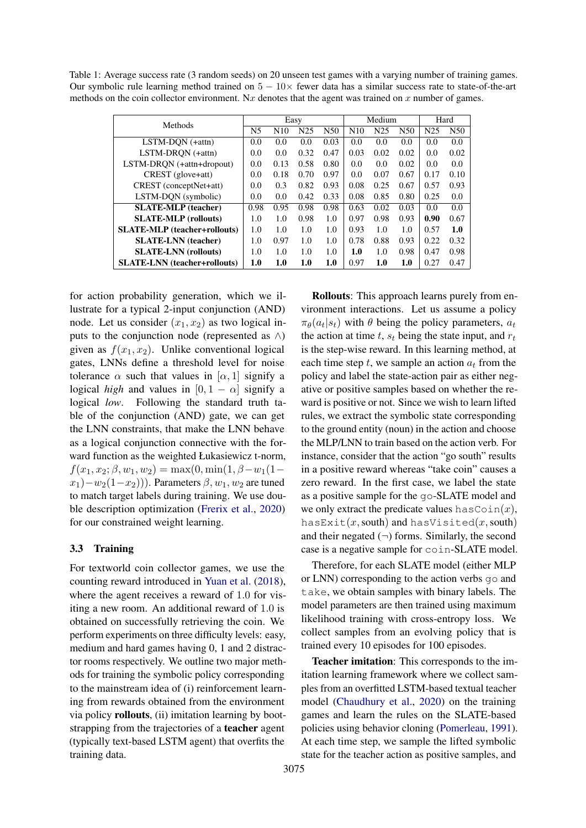<span id="page-2-0"></span>Table 1: Average success rate (3 random seeds) on 20 unseen test games with a varying number of training games. Our symbolic rule learning method trained on  $5 - 10 \times$  fewer data has a similar success rate to state-of-the-art methods on the coin collector environment. Nx denotes that the agent was trained on x number of games.

| Methods                             | Easy           |                 |                 |                 | Medium |                 |                 | Hard            |      |
|-------------------------------------|----------------|-----------------|-----------------|-----------------|--------|-----------------|-----------------|-----------------|------|
|                                     | N <sub>5</sub> | N <sub>10</sub> | N <sub>25</sub> | N <sub>50</sub> | N10    | N <sub>25</sub> | N <sub>50</sub> | N <sub>25</sub> | N50  |
| $LSTM-DQN$ (+attn)                  | 0.0            | 0.0             | 0.0             | 0.03            | 0.0    | 0.0             | 0.0             | 0.0             | 0.0  |
| LSTM-DRON (+attn)                   | 0.0            | 0.0             | 0.32            | 0.47            | 0.03   | 0.02            | 0.02            | 0.0             | 0.02 |
| LSTM-DRQN (+attn+dropout)           | 0.0            | 0.13            | 0.58            | 0.80            | 0.0    | 0.0             | 0.02            | 0.0             | 0.0  |
| CREST (glove+att)                   | 0.0            | 0.18            | 0.70            | 0.97            | 0.0    | 0.07            | 0.67            | 0.17            | 0.10 |
| CREST (conceptNet+att)              | 0.0            | 0.3             | 0.82            | 0.93            | 0.08   | 0.25            | 0.67            | 0.57            | 0.93 |
| LSTM-DQN (symbolic)                 | 0.0            | 0.0             | 0.42            | 0.33            | 0.08   | 0.85            | 0.80            | 0.25            | 0.0  |
| <b>SLATE-MLP</b> (teacher)          | 0.98           | 0.95            | 0.98            | 0.98            | 0.63   | 0.02            | 0.03            | 0.0             | 0.0  |
| <b>SLATE-MLP</b> (rollouts)         | 1.0            | 1.0             | 0.98            | 1.0             | 0.97   | 0.98            | 0.93            | 0.90            | 0.67 |
| <b>SLATE-MLP</b> (teacher+rollouts) | 1.0            | 1.0             | 1.0             | 1.0             | 0.93   | 1.0             | 1.0             | 0.57            | 1.0  |
| <b>SLATE-LNN</b> (teacher)          | 1.0            | 0.97            | 1.0             | 1.0             | 0.78   | 0.88            | 0.93            | 0.22            | 0.32 |
| <b>SLATE-LNN</b> (rollouts)         | 1.0            | 1.0             | 1.0             | 1.0             | 1.0    | 1.0             | 0.98            | 0.47            | 0.98 |
| <b>SLATE-LNN</b> (teacher+rollouts) | 1.0            | 1.0             | 1.0             | 1.0             | 0.97   | 1.0             | 1.0             | 0.27            | 0.47 |

for action probability generation, which we illustrate for a typical 2-input conjunction (AND) node. Let us consider  $(x_1, x_2)$  as two logical inputs to the conjunction node (represented as ∧) given as  $f(x_1, x_2)$ . Unlike conventional logical gates, LNNs define a threshold level for noise tolerance  $\alpha$  such that values in  $[\alpha, 1]$  signify a logical *high* and values in  $[0, 1 - \alpha]$  signify a logical *low*. Following the standard truth table of the conjunction (AND) gate, we can get the LNN constraints, that make the LNN behave as a logical conjunction connective with the forward function as the weighted Łukasiewicz t-norm,  $f(x_1, x_2; \beta, w_1, w_2) = \max(0, \min(1, \beta - w_1(1 (x_1)-w_2(1-x_2)$ ). Parameters  $\beta, w_1, w_2$  are tuned to match target labels during training. We use double description optimization [\(Frerix et al.,](#page-5-5) [2020\)](#page-5-5) for our constrained weight learning.

## 3.3 Training

For textworld coin collector games, we use the counting reward introduced in [Yuan et al.](#page-5-3) [\(2018\)](#page-5-3), where the agent receives a reward of 1.0 for visiting a new room. An additional reward of 1.0 is obtained on successfully retrieving the coin. We perform experiments on three difficulty levels: easy, medium and hard games having 0, 1 and 2 distractor rooms respectively. We outline two major methods for training the symbolic policy corresponding to the mainstream idea of (i) reinforcement learning from rewards obtained from the environment via policy rollouts, (ii) imitation learning by bootstrapping from the trajectories of a teacher agent (typically text-based LSTM agent) that overfits the training data.

Rollouts: This approach learns purely from environment interactions. Let us assume a policy  $\pi_{\theta}(a_t|s_t)$  with  $\theta$  being the policy parameters,  $a_t$ the action at time  $t$ ,  $s_t$  being the state input, and  $r_t$ is the step-wise reward. In this learning method, at each time step t, we sample an action  $a_t$  from the policy and label the state-action pair as either negative or positive samples based on whether the reward is positive or not. Since we wish to learn lifted rules, we extract the symbolic state corresponding to the ground entity (noun) in the action and choose the MLP/LNN to train based on the action verb. For instance, consider that the action "go south" results in a positive reward whereas "take coin" causes a zero reward. In the first case, we label the state as a positive sample for the go-SLATE model and we only extract the predicate values hasCoin $(x)$ , has $\text{Exit}(x, \text{south})$  and has $\text{Visited}(x, \text{south})$ and their negated  $(\neg)$  forms. Similarly, the second case is a negative sample for coin-SLATE model.

Therefore, for each SLATE model (either MLP or LNN) corresponding to the action verbs go and take, we obtain samples with binary labels. The model parameters are then trained using maximum likelihood training with cross-entropy loss. We collect samples from an evolving policy that is trained every 10 episodes for 100 episodes.

Teacher imitation: This corresponds to the imitation learning framework where we collect samples from an overfitted LSTM-based textual teacher model [\(Chaudhury et al.,](#page-4-3) [2020\)](#page-4-3) on the training games and learn the rules on the SLATE-based policies using behavior cloning [\(Pomerleau,](#page-5-6) [1991\)](#page-5-6). At each time step, we sample the lifted symbolic state for the teacher action as positive samples, and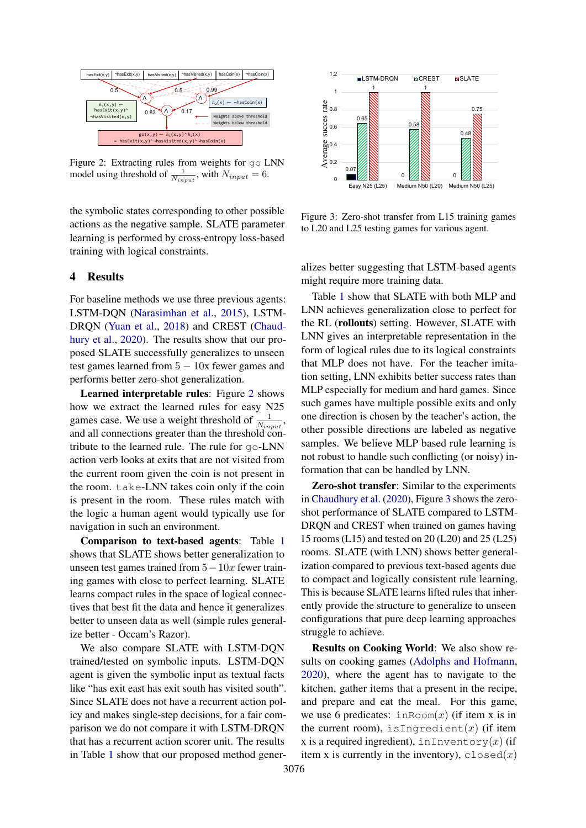<span id="page-3-0"></span>

Figure 2: Extracting rules from weights for go LNN model using threshold of  $\frac{1}{N_{input}}$ , with  $N_{input} = 6$ .

the symbolic states corresponding to other possible actions as the negative sample. SLATE parameter learning is performed by cross-entropy loss-based training with logical constraints.

## 4 Results

For baseline methods we use three previous agents: LSTM-DQN [\(Narasimhan et al.,](#page-5-0) [2015\)](#page-5-0), LSTM-DRQN [\(Yuan et al.,](#page-5-3) [2018\)](#page-5-3) and CREST [\(Chaud](#page-4-3)[hury et al.,](#page-4-3) [2020\)](#page-4-3). The results show that our proposed SLATE successfully generalizes to unseen test games learned from  $5 - 10x$  fewer games and performs better zero-shot generalization.

Learned interpretable rules: Figure [2](#page-3-0) shows how we extract the learned rules for easy N25 games case. We use a weight threshold of  $\frac{1}{N_{input}}$ , and all connections greater than the threshold contribute to the learned rule. The rule for go-LNN action verb looks at exits that are not visited from the current room given the coin is not present in the room. take-LNN takes coin only if the coin is present in the room. These rules match with the logic a human agent would typically use for navigation in such an environment.

Comparison to text-based agents: Table [1](#page-2-0) shows that SLATE shows better generalization to unseen test games trained from  $5-10x$  fewer training games with close to perfect learning. SLATE learns compact rules in the space of logical connectives that best fit the data and hence it generalizes better to unseen data as well (simple rules generalize better - Occam's Razor).

We also compare SLATE with LSTM-DQN trained/tested on symbolic inputs. LSTM-DQN agent is given the symbolic input as textual facts like "has exit east has exit south has visited south". Since SLATE does not have a recurrent action policy and makes single-step decisions, for a fair comparison we do not compare it with LSTM-DRQN that has a recurrent action scorer unit. The results in Table [1](#page-2-0) show that our proposed method gener-

<span id="page-3-1"></span>

Figure 3: Zero-shot transfer from L15 training games to L20 and L25 testing games for various agent.

alizes better suggesting that LSTM-based agents might require more training data.

Table [1](#page-2-0) show that SLATE with both MLP and LNN achieves generalization close to perfect for the RL (rollouts) setting. However, SLATE with LNN gives an interpretable representation in the form of logical rules due to its logical constraints that MLP does not have. For the teacher imitation setting, LNN exhibits better success rates than MLP especially for medium and hard games. Since such games have multiple possible exits and only one direction is chosen by the teacher's action, the other possible directions are labeled as negative samples. We believe MLP based rule learning is not robust to handle such conflicting (or noisy) information that can be handled by LNN.

Zero-shot transfer: Similar to the experiments in [Chaudhury et al.](#page-4-3) [\(2020\)](#page-4-3), Figure [3](#page-3-1) shows the zeroshot performance of SLATE compared to LSTM-DRQN and CREST when trained on games having 15 rooms (L15) and tested on 20 (L20) and 25 (L25) rooms. SLATE (with LNN) shows better generalization compared to previous text-based agents due to compact and logically consistent rule learning. This is because SLATE learns lifted rules that inherently provide the structure to generalize to unseen configurations that pure deep learning approaches struggle to achieve.

Results on Cooking World: We also show results on cooking games [\(Adolphs and Hofmann,](#page-4-0) [2020\)](#page-4-0), where the agent has to navigate to the kitchen, gather items that a present in the recipe, and prepare and eat the meal. For this game, we use 6 predicates:  $\text{inRoom}(x)$  (if item x is in the current room), is Ingredient(x) (if item x is a required ingredient), in Inventory $(x)$  (if item x is currently in the inventory),  $\text{closed}(x)$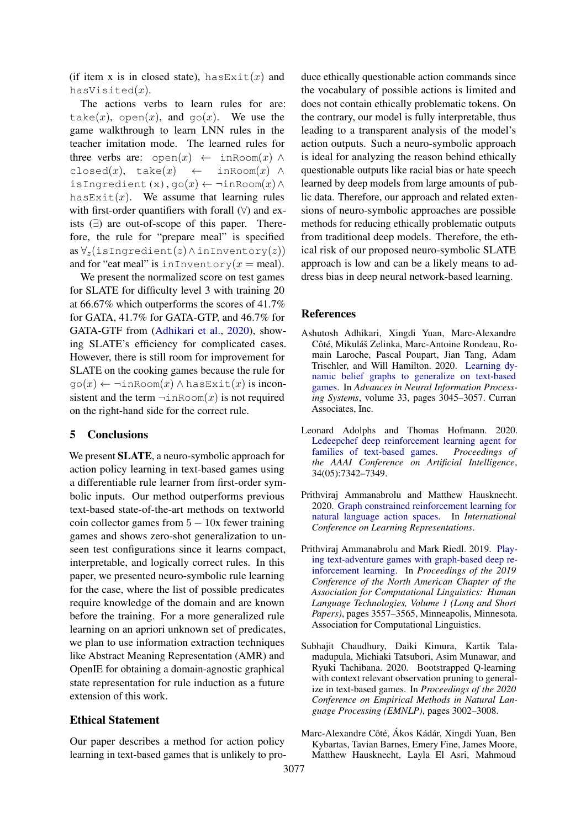(if item x is in closed state), has  $Ext(x)$  and hasVisited $(x)$ .

The actions verbs to learn rules for are: take(x), open(x), and  $q\circ(x)$ . We use the game walkthrough to learn LNN rules in the teacher imitation mode. The learned rules for three verbs are:  $open(x) \leftarrow inRoom(x) \wedge$ closed(x), take(x)  $\leftarrow$  inRoom(x)  $\wedge$ isIngredient(x), go $(x) \leftarrow \neg \text{inRoom}(x) \land$ has  $Ext(tx)$ . We assume that learning rules with first-order quantifiers with forall  $(\forall)$  and exists (∃) are out-of-scope of this paper. Therefore, the rule for "prepare meal" is specified as  $\forall z$ (isIngredient(z)∧inInventory(z)) and for "eat meal" is inInventory $(x = \text{real})$ .

We present the normalized score on test games for SLATE for difficulty level 3 with training 20 at 66.67% which outperforms the scores of 41.7% for GATA, 41.7% for GATA-GTP, and 46.7% for GATA-GTF from [\(Adhikari et al.,](#page-4-4) [2020\)](#page-4-4), showing SLATE's efficiency for complicated cases. However, there is still room for improvement for SLATE on the cooking games because the rule for  $\text{go}(x) \leftarrow \neg \text{inRoom}(x) \land \text{hasExit}(x)$  is inconsistent and the term  $\neg$  inRoom $(x)$  is not required on the right-hand side for the correct rule.

## 5 Conclusions

We present SLATE, a neuro-symbolic approach for action policy learning in text-based games using a differentiable rule learner from first-order symbolic inputs. Our method outperforms previous text-based state-of-the-art methods on textworld coin collector games from  $5 - 10x$  fewer training games and shows zero-shot generalization to unseen test configurations since it learns compact, interpretable, and logically correct rules. In this paper, we presented neuro-symbolic rule learning for the case, where the list of possible predicates require knowledge of the domain and are known before the training. For a more generalized rule learning on an apriori unknown set of predicates, we plan to use information extraction techniques like Abstract Meaning Representation (AMR) and OpenIE for obtaining a domain-agnostic graphical state representation for rule induction as a future extension of this work.

## Ethical Statement

Our paper describes a method for action policy learning in text-based games that is unlikely to produce ethically questionable action commands since the vocabulary of possible actions is limited and does not contain ethically problematic tokens. On the contrary, our model is fully interpretable, thus leading to a transparent analysis of the model's action outputs. Such a neuro-symbolic approach is ideal for analyzing the reason behind ethically questionable outputs like racial bias or hate speech learned by deep models from large amounts of public data. Therefore, our approach and related extensions of neuro-symbolic approaches are possible methods for reducing ethically problematic outputs from traditional deep models. Therefore, the ethical risk of our proposed neuro-symbolic SLATE approach is low and can be a likely means to address bias in deep neural network-based learning.

#### References

- <span id="page-4-4"></span>Ashutosh Adhikari, Xingdi Yuan, Marc-Alexandre Côté, Mikuláš Zelinka, Marc-Antoine Rondeau, Romain Laroche, Pascal Poupart, Jian Tang, Adam Trischler, and Will Hamilton. 2020. [Learning dy](https://proceedings.neurips.cc/paper/2020/file/1fc30b9d4319760b04fab735fbfed9a9-Paper.pdf)[namic belief graphs to generalize on text-based](https://proceedings.neurips.cc/paper/2020/file/1fc30b9d4319760b04fab735fbfed9a9-Paper.pdf) [games.](https://proceedings.neurips.cc/paper/2020/file/1fc30b9d4319760b04fab735fbfed9a9-Paper.pdf) In *Advances in Neural Information Processing Systems*, volume 33, pages 3045–3057. Curran Associates, Inc.
- <span id="page-4-0"></span>Leonard Adolphs and Thomas Hofmann. 2020. [Ledeepchef deep reinforcement learning agent for](https://doi.org/10.1609/aaai.v34i05.6228) [families of text-based games.](https://doi.org/10.1609/aaai.v34i05.6228) *Proceedings of the AAAI Conference on Artificial Intelligence*, 34(05):7342–7349.
- <span id="page-4-2"></span>Prithviraj Ammanabrolu and Matthew Hausknecht. 2020. [Graph constrained reinforcement learning for](https://openreview.net/forum?id=B1x6w0EtwH) [natural language action spaces.](https://openreview.net/forum?id=B1x6w0EtwH) In *International Conference on Learning Representations*.
- <span id="page-4-1"></span>Prithviraj Ammanabrolu and Mark Riedl. 2019. [Play](https://doi.org/10.18653/v1/N19-1358)[ing text-adventure games with graph-based deep re](https://doi.org/10.18653/v1/N19-1358)[inforcement learning.](https://doi.org/10.18653/v1/N19-1358) In *Proceedings of the 2019 Conference of the North American Chapter of the Association for Computational Linguistics: Human Language Technologies, Volume 1 (Long and Short Papers)*, pages 3557–3565, Minneapolis, Minnesota. Association for Computational Linguistics.
- <span id="page-4-3"></span>Subhajit Chaudhury, Daiki Kimura, Kartik Talamadupula, Michiaki Tatsubori, Asim Munawar, and Ryuki Tachibana. 2020. Bootstrapped Q-learning with context relevant observation pruning to generalize in text-based games. In *Proceedings of the 2020 Conference on Empirical Methods in Natural Language Processing (EMNLP)*, pages 3002–3008.
- <span id="page-4-5"></span>Marc-Alexandre Côté, Ákos Kádár, Xingdi Yuan, Ben Kybartas, Tavian Barnes, Emery Fine, James Moore, Matthew Hausknecht, Layla El Asri, Mahmoud